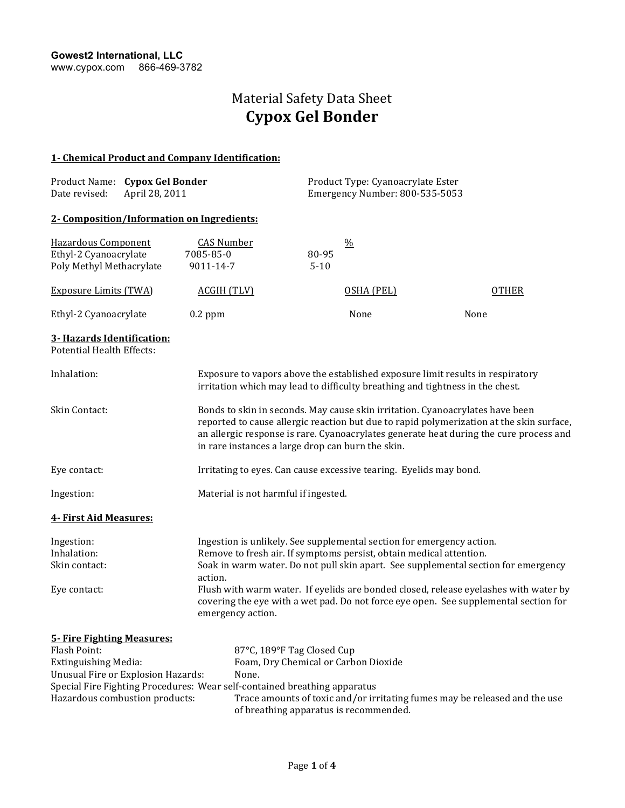## Material Safety Data Sheet **Cypox Gel Bonder**

### **1- Chemical Product and Company Identification:**

|               | Product Name: Cypox Gel Bonder | Product Type: Cyanoacrylate Ester |
|---------------|--------------------------------|-----------------------------------|
| Date revised: | April 28, 2011                 | Emergency Number: 800-535-5053    |

### **2- Composition/Information on Ingredients:**

| Hazardous Component<br>Ethyl-2 Cyanoacrylate                              | <b>CAS Number</b><br>7085-85-0                                                                                                                                                                                                                                                                                           | 80-95    | $\frac{0}{0}$                                                         |              |
|---------------------------------------------------------------------------|--------------------------------------------------------------------------------------------------------------------------------------------------------------------------------------------------------------------------------------------------------------------------------------------------------------------------|----------|-----------------------------------------------------------------------|--------------|
| Poly Methyl Methacrylate                                                  | 9011-14-7                                                                                                                                                                                                                                                                                                                | $5 - 10$ |                                                                       |              |
| <b>Exposure Limits (TWA)</b>                                              | <b>ACGIH (TLV)</b>                                                                                                                                                                                                                                                                                                       |          | OSHA (PEL)                                                            | <b>OTHER</b> |
| Ethyl-2 Cyanoacrylate                                                     | $0.2$ ppm                                                                                                                                                                                                                                                                                                                |          | None                                                                  | None         |
| 3- Hazards Identification:<br><b>Potential Health Effects:</b>            |                                                                                                                                                                                                                                                                                                                          |          |                                                                       |              |
| Inhalation:                                                               | Exposure to vapors above the established exposure limit results in respiratory<br>irritation which may lead to difficulty breathing and tightness in the chest.                                                                                                                                                          |          |                                                                       |              |
| Skin Contact:                                                             | Bonds to skin in seconds. May cause skin irritation. Cyanoacrylates have been<br>reported to cause allergic reaction but due to rapid polymerization at the skin surface,<br>an allergic response is rare. Cyanoacrylates generate heat during the cure process and<br>in rare instances a large drop can burn the skin. |          |                                                                       |              |
| Eye contact:                                                              |                                                                                                                                                                                                                                                                                                                          |          | Irritating to eyes. Can cause excessive tearing. Eyelids may bond.    |              |
| Ingestion:                                                                | Material is not harmful if ingested.                                                                                                                                                                                                                                                                                     |          |                                                                       |              |
| 4- First Aid Measures:                                                    |                                                                                                                                                                                                                                                                                                                          |          |                                                                       |              |
| Ingestion:                                                                |                                                                                                                                                                                                                                                                                                                          |          | Ingestion is unlikely. See supplemental section for emergency action. |              |
| Inhalation:                                                               | Remove to fresh air. If symptoms persist, obtain medical attention.<br>Soak in warm water. Do not pull skin apart. See supplemental section for emergency                                                                                                                                                                |          |                                                                       |              |
| Skin contact:                                                             | action.                                                                                                                                                                                                                                                                                                                  |          |                                                                       |              |
| Eye contact:                                                              | Flush with warm water. If eyelids are bonded closed, release eyelashes with water by<br>covering the eye with a wet pad. Do not force eye open. See supplemental section for<br>emergency action.                                                                                                                        |          |                                                                       |              |
| 5- Fire Fighting Measures:                                                |                                                                                                                                                                                                                                                                                                                          |          |                                                                       |              |
| Flash Point:                                                              | 87°C, 189°F Tag Closed Cup                                                                                                                                                                                                                                                                                               |          |                                                                       |              |
| <b>Extinguishing Media:</b>                                               | Foam, Dry Chemical or Carbon Dioxide                                                                                                                                                                                                                                                                                     |          |                                                                       |              |
| Unusual Fire or Explosion Hazards:                                        | None.                                                                                                                                                                                                                                                                                                                    |          |                                                                       |              |
| Special Fire Fighting Procedures: Wear self-contained breathing apparatus |                                                                                                                                                                                                                                                                                                                          |          |                                                                       |              |

Hazardous combustion products: Trace amounts of toxic and/or irritating fumes may be released and the use of breathing apparatus is recommended.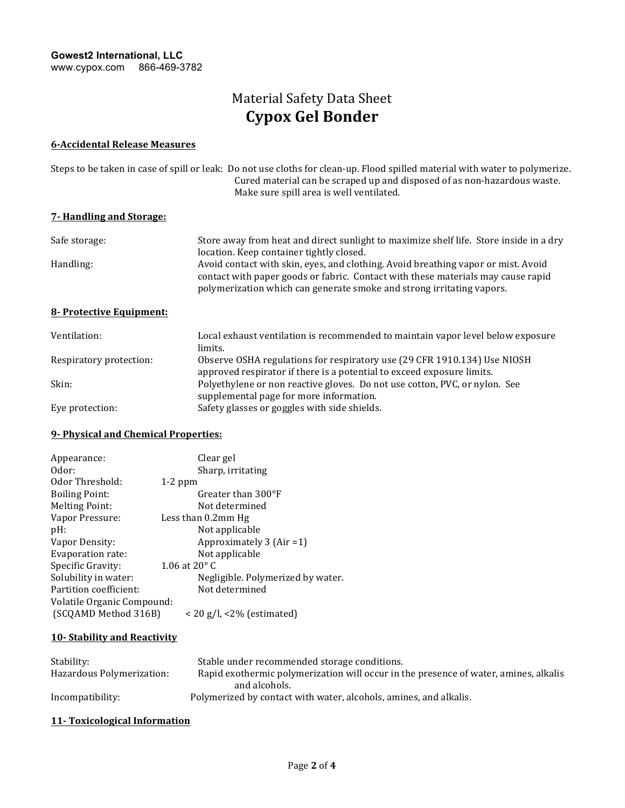# Material Safety Data Sheet **Cypox Gel Bonder**

#### **6-Accidental Release Measures**

| Steps to be taken in case of spill or leak: Do not use cloths for clean-up. Flood spilled material with water to polymerize. |
|------------------------------------------------------------------------------------------------------------------------------|
| Cured material can be scraped up and disposed of as non-hazardous waste.                                                     |
| Make sure spill area is well ventilated.                                                                                     |

## **7- Handling and Storage:**

| Safe storage: | Store away from heat and direct sunlight to maximize shelf life. Store inside in a dry                                                                                |
|---------------|-----------------------------------------------------------------------------------------------------------------------------------------------------------------------|
|               | location. Keep container tightly closed.                                                                                                                              |
| Handling:     | Avoid contact with skin, eyes, and clothing. Avoid breathing vapor or mist. Avoid<br>contact with paper goods or fabric. Contact with these materials may cause rapid |
|               | polymerization which can generate smoke and strong irritating vapors.                                                                                                 |

### **8-** Protective Equipment:

| Ventilation:            | Local exhaust ventilation is recommended to maintain vapor level below exposure<br>limits. |
|-------------------------|--------------------------------------------------------------------------------------------|
| Respiratory protection: | Observe OSHA regulations for respiratory use (29 CFR 1910.134) Use NIOSH                   |
|                         | approved respirator if there is a potential to exceed exposure limits.                     |
| Skin:                   | Polyethylene or non reactive gloves. Do not use cotton, PVC, or nylon. See                 |
|                         | supplemental page for more information.                                                    |
| Eye protection:         | Safety glasses or goggles with side shields.                                               |

#### **9- Physical and Chemical Properties:**

| Appearance:                | Clear gel                         |
|----------------------------|-----------------------------------|
| Odor:                      | Sharp, irritating                 |
| Odor Threshold:            | $1-2$ ppm                         |
| <b>Boiling Point:</b>      | Greater than $300^{\circ}$ F      |
| <b>Melting Point:</b>      | Not determined                    |
| Vapor Pressure:            | Less than 0.2mm Hg                |
| $pH$ :                     | Not applicable                    |
| Vapor Density:             | Approximately $3$ (Air = 1)       |
| Evaporation rate:          | Not applicable                    |
| Specific Gravity:          | 1.06 at $20^{\circ}$ C            |
| Solubility in water:       | Negligible. Polymerized by water. |
| Partition coefficient:     | Not determined                    |
| Volatile Organic Compound: |                                   |
| (SCQAMD Method 316B)       | $<$ 20 g/l, $<$ 2% (estimated)    |

### **10- Stability and Reactivity**

| Stability:                | Stable under recommended storage conditions.                                         |
|---------------------------|--------------------------------------------------------------------------------------|
| Hazardous Polymerization: | Rapid exothermic polymerization will occur in the presence of water, amines, alkalis |
|                           | and alcohols.                                                                        |
| Incompatibility:          | Polymerized by contact with water, alcohols, amines, and alkalis.                    |

## **11- Toxicological Information**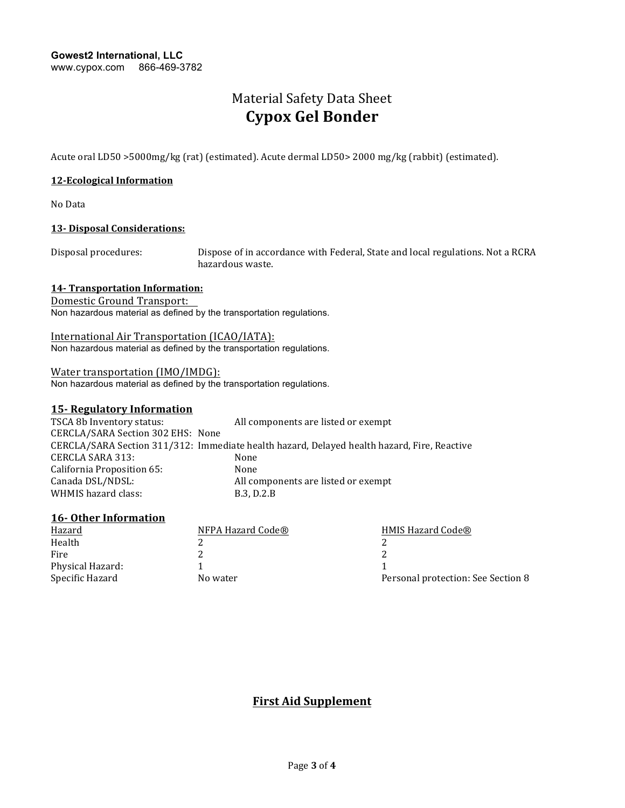**Gowest2 International, LLC** www.cypox.com 866-469-3782

## Material Safety Data Sheet **Cypox Gel Bonder**

Acute oral LD50 >5000mg/kg (rat) (estimated). Acute dermal LD50> 2000 mg/kg (rabbit) (estimated).

#### **12-Ecological Information**

No Data 

#### **13-** Disposal Considerations:

Disposal procedures: Dispose of in accordance with Federal, State and local regulations. Not a RCRA hazardous waste.

#### **14-** Transportation Information:

Domestic Ground Transport:

Non hazardous material as defined by the transportation regulations.

International Air Transportation (ICAO/IATA): Non hazardous material as defined by the transportation regulations.

#### Water transportation (IMO/IMDG):

Non hazardous material as defined by the transportation regulations.

## **15- Regulatory Information**

| TSCA 8b Inventory status:         | All components are listed or exempt                                                         |
|-----------------------------------|---------------------------------------------------------------------------------------------|
| CERCLA/SARA Section 302 EHS: None |                                                                                             |
|                                   | CERCLA/SARA Section 311/312: Immediate health hazard, Delayed health hazard, Fire, Reactive |
| CERCLA SARA 313:                  | None                                                                                        |
| California Proposition 65:        | None                                                                                        |
| Canada DSL/NDSL:                  | All components are listed or exempt                                                         |
| WHMIS hazard class:               | B.3, D.2.B                                                                                  |

## **16-** Other Information

| NFPA Hazard Code® | HMIS Hazard Code®                  |
|-------------------|------------------------------------|
|                   |                                    |
|                   |                                    |
|                   |                                    |
| No water          | Personal protection: See Section 8 |
|                   |                                    |

**First Aid Supplement**